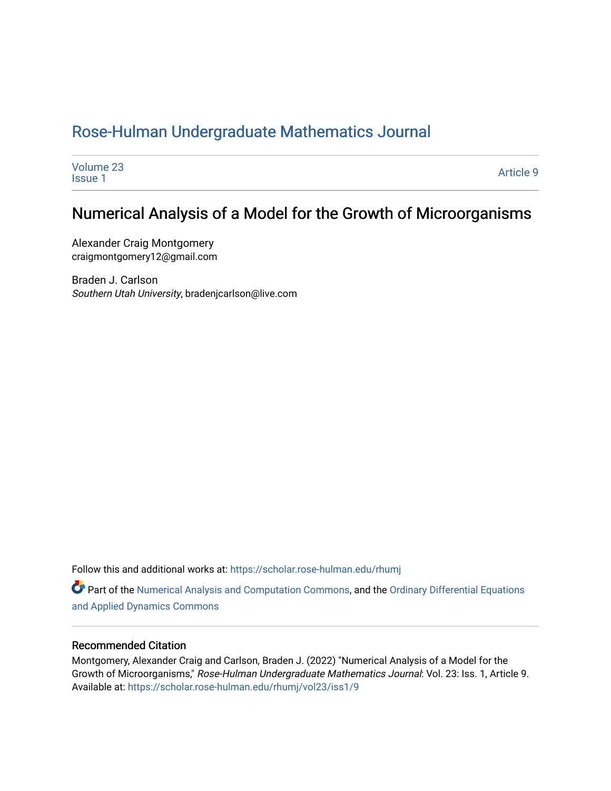# [Rose-Hulman Undergraduate Mathematics Journal](https://scholar.rose-hulman.edu/rhumj)

| Volume 23      | Article 9 |
|----------------|-----------|
| <b>Issue 1</b> |           |

# Numerical Analysis of a Model for the Growth of Microorganisms

Alexander Craig Montgomery craigmontgomery12@gmail.com

Braden J. Carlson Southern Utah University, bradenjcarlson@live.com

Follow this and additional works at: [https://scholar.rose-hulman.edu/rhumj](https://scholar.rose-hulman.edu/rhumj?utm_source=scholar.rose-hulman.edu%2Frhumj%2Fvol23%2Fiss1%2F9&utm_medium=PDF&utm_campaign=PDFCoverPages)

Part of the [Numerical Analysis and Computation Commons,](https://network.bepress.com/hgg/discipline/119?utm_source=scholar.rose-hulman.edu%2Frhumj%2Fvol23%2Fiss1%2F9&utm_medium=PDF&utm_campaign=PDFCoverPages) and the [Ordinary Differential Equations](https://network.bepress.com/hgg/discipline/121?utm_source=scholar.rose-hulman.edu%2Frhumj%2Fvol23%2Fiss1%2F9&utm_medium=PDF&utm_campaign=PDFCoverPages)  [and Applied Dynamics Commons](https://network.bepress.com/hgg/discipline/121?utm_source=scholar.rose-hulman.edu%2Frhumj%2Fvol23%2Fiss1%2F9&utm_medium=PDF&utm_campaign=PDFCoverPages) 

#### Recommended Citation

Montgomery, Alexander Craig and Carlson, Braden J. (2022) "Numerical Analysis of a Model for the Growth of Microorganisms," Rose-Hulman Undergraduate Mathematics Journal: Vol. 23: Iss. 1, Article 9. Available at: [https://scholar.rose-hulman.edu/rhumj/vol23/iss1/9](https://scholar.rose-hulman.edu/rhumj/vol23/iss1/9?utm_source=scholar.rose-hulman.edu%2Frhumj%2Fvol23%2Fiss1%2F9&utm_medium=PDF&utm_campaign=PDFCoverPages)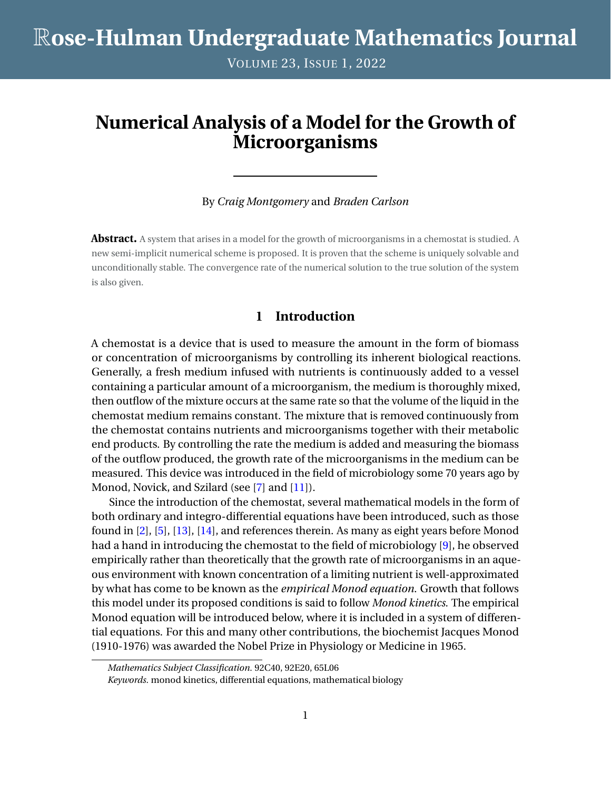VOLUME 23, ISSUE 1, 2022

# **Numerical Analysis of a Model for the Growth of Microorganisms**

#### By *Craig Montgomery* and *Braden Carlson*

**Abstract.** A system that arises in a model for the growth of microorganisms in a chemostat is studied. A new semi-implicit numerical scheme is proposed. It is proven that the scheme is uniquely solvable and unconditionally stable. The convergence rate of the numerical solution to the true solution of the system is also given.

## **1 Introduction**

A chemostat is a device that is used to measure the amount in the form of biomass or concentration of microorganisms by controlling its inherent biological reactions. Generally, a fresh medium infused with nutrients is continuously added to a vessel containing a particular amount of a microorganism, the medium is thoroughly mixed, then outflow of the mixture occurs at the same rate so that the volume of the liquid in the chemostat medium remains constant. The mixture that is removed continuously from the chemostat contains nutrients and microorganisms together with their metabolic end products. By controlling the rate the medium is added and measuring the biomass of the outflow produced, the growth rate of the microorganisms in the medium can be measured. This device was introduced in the field of microbiology some 70 years ago by Monod, Novick, and Szilard (see [\[7\]](#page-18-0) and [\[11\]](#page-18-1)).

Since the introduction of the chemostat, several mathematical models in the form of both ordinary and integro-differential equations have been introduced, such as those found in [\[2\]](#page-18-2), [\[5\]](#page-18-3), [\[13\]](#page-18-4), [\[14\]](#page-18-5), and references therein. As many as eight years before Monod had a hand in introducing the chemostat to the field of microbiology [\[9\]](#page-18-6), he observed empirically rather than theoretically that the growth rate of microorganisms in an aqueous environment with known concentration of a limiting nutrient is well-approximated by what has come to be known as the *empirical Monod equation*. Growth that follows this model under its proposed conditions is said to follow *Monod kinetics*. The empirical Monod equation will be introduced below, where it is included in a system of differential equations. For this and many other contributions, the biochemist Jacques Monod (1910-1976) was awarded the Nobel Prize in Physiology or Medicine in 1965.

*Mathematics Subject Classification.* 92C40, 92E20, 65L06

*Keywords.* monod kinetics, differential equations, mathematical biology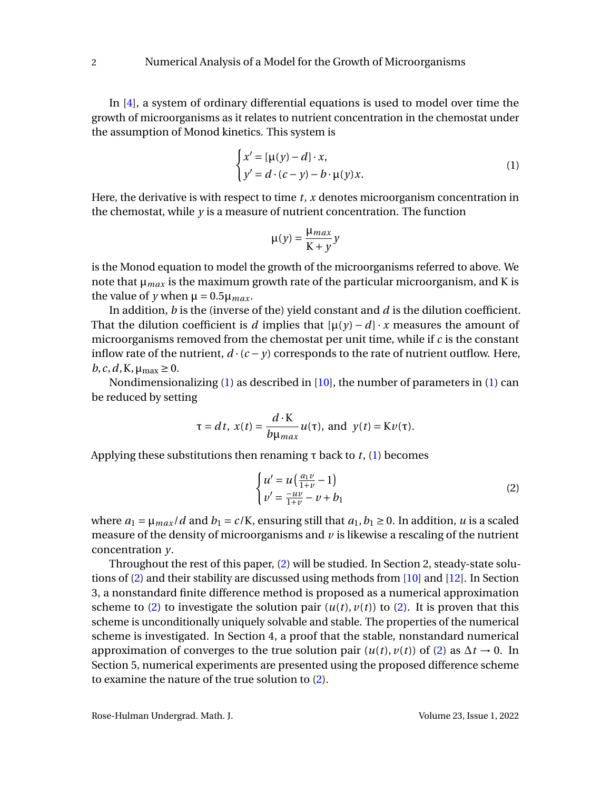In [\[4\]](#page-18-7), a system of ordinary differential equations is used to model over time the growth of microorganisms as it relates to nutrient concentration in the chemostat under the assumption of Monod kinetics. This system is

$$
\begin{cases} x' = [\mu(y) - d] \cdot x, \\ y' = d \cdot (c - y) - b \cdot \mu(y) x. \end{cases} \tag{1}
$$

Here, the derivative is with respect to time *t*, *x* denotes microorganism concentration in the chemostat, while *y* is a measure of nutrient concentration. The function

<span id="page-2-0"></span>
$$
\mu(y) = \frac{\mu_{max}}{K + y} y
$$

is the Monod equation to model the growth of the microorganisms referred to above. We note that  $\mu_{max}$  is the maximum growth rate of the particular microorganism, and K is the value of *y* when  $\mu = 0.5\mu_{max}$ .

In addition, *b* is the (inverse of the) yield constant and *d* is the dilution coefficient. That the dilution coefficient is *d* implies that  $[\mu(\gamma) - d] \cdot x$  measures the amount of microorganisms removed from the chemostat per unit time, while if *c* is the constant inflow rate of the nutrient,  $d \cdot (c - y)$  corresponds to the rate of nutrient outflow. Here,  $b, c, d, K, \mu_{\text{max}} \geq 0.$ 

Nondimensionalizing [\(1\)](#page-2-0) as described in [\[10\]](#page-18-8), the number of parameters in [\(1\)](#page-2-0) can be reduced by setting

$$
\tau = dt
$$
,  $x(t) = \frac{d \cdot \mathbf{K}}{b \mu_{max}} u(\tau)$ , and  $y(t) = \mathbf{K} v(\tau)$ .

Applying these substitutions then renaming τ back to *t*, [\(1\)](#page-2-0) becomes

<span id="page-2-1"></span>
$$
\begin{cases}\n u' = u \left( \frac{a_1 v}{1 + v} - 1 \right) \\
 v' = \frac{-uv}{1 + v} - v + b_1\n\end{cases}
$$
\n(2)

where  $a_1 = \mu_{max}/d$  and  $b_1 = c/K$ , ensuring still that  $a_1, b_1 \ge 0$ . In addition, *u* is a scaled measure of the density of microorganisms and *v* is likewise a rescaling of the nutrient concentration *y*.

Throughout the rest of this paper, [\(2\)](#page-2-1) will be studied. In Section 2, steady-state solutions of [\(2\)](#page-2-1) and their stability are discussed using methods from [\[10\]](#page-18-8) and [\[12\]](#page-18-9). In Section 3, a nonstandard finite difference method is proposed as a numerical approximation scheme to [\(2\)](#page-2-1) to investigate the solution pair  $(u(t), v(t))$  to (2). It is proven that this scheme is unconditionally uniquely solvable and stable. The properties of the numerical scheme is investigated. In Section 4, a proof that the stable, nonstandard numerical approximation of converges to the true solution pair  $(u(t), v(t))$  of [\(2\)](#page-2-1) as  $\Delta t \rightarrow 0$ . In Section 5, numerical experiments are presented using the proposed difference scheme to examine the nature of the true solution to [\(2\)](#page-2-1).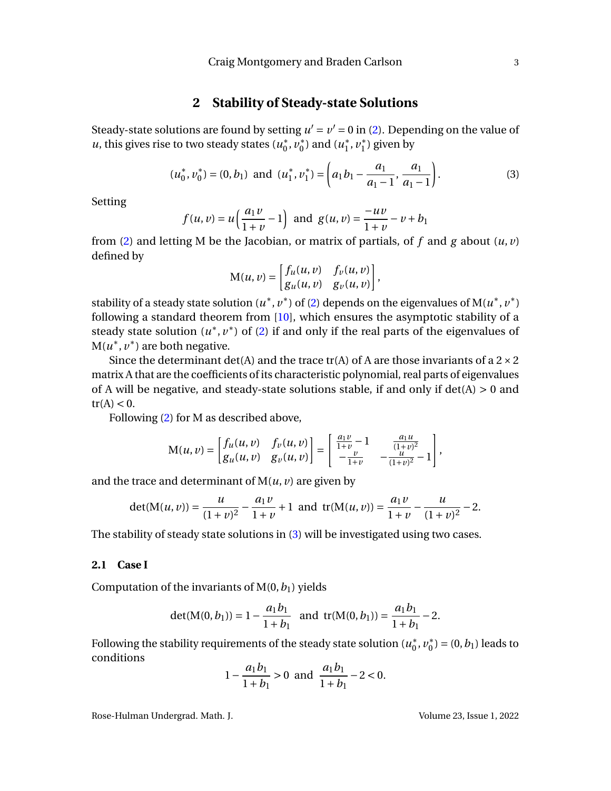### **2 Stability of Steady-state Solutions**

Steady-state solutions are found by setting  $u' = v' = 0$  in [\(2\)](#page-2-1). Depending on the value of *u*, this gives rise to two steady states  $(u_0^*)$  $\frac{1}{0}$ ,  $\overline{v}_0^*$  $\binom{1}{0}$  and  $(u_1^*)$  $i^*, v_1^*$  $j_1^*$ ) given by

$$
(u_0^*, v_0^*) = (0, b_1) \text{ and } (u_1^*, v_1^*) = \left(a_1 b_1 - \frac{a_1}{a_1 - 1}, \frac{a_1}{a_1 - 1}\right). \tag{3}
$$

Setting

$$
f(u, v) = u\left(\frac{a_1 v}{1 + v} - 1\right)
$$
 and  $g(u, v) = \frac{-uv}{1 + v} - v + b_1$ 

from [\(2\)](#page-2-1) and letting M be the Jacobian, or matrix of partials, of *f* and *g* about (*u*, *v*) defined by

<span id="page-3-0"></span>
$$
M(u, v) = \begin{bmatrix} f_u(u, v) & f_v(u, v) \\ g_u(u, v) & g_v(u, v) \end{bmatrix},
$$

stability of a steady state solution  $(u^*, v^*)$  of [\(2\)](#page-2-1) depends on the eigenvalues of  $M(u^*, v^*)$ following a standard theorem from [\[10\]](#page-18-8), which ensures the asymptotic stability of a steady state solution  $(u^*, v^*)$  of [\(2\)](#page-2-1) if and only if the real parts of the eigenvalues of  $M(u^*, v^*)$  are both negative.

Since the determinant det(A) and the trace tr(A) of A are those invariants of a  $2 \times 2$ matrix A that are the coefficients of its characteristic polynomial, real parts of eigenvalues of A will be negative, and steady-state solutions stable, if and only if  $det(A) > 0$  and  $tr(A) < 0$ .

Following [\(2\)](#page-2-1) for M as described above,

$$
M(u, v) = \begin{bmatrix} f_u(u, v) & f_v(u, v) \\ g_u(u, v) & g_v(u, v) \end{bmatrix} = \begin{bmatrix} \frac{a_1 v}{1+v} - 1 & \frac{a_1 u}{(1+v)^2} \\ -\frac{v}{1+v} & -\frac{u}{(1+v)^2} - 1 \end{bmatrix},
$$

and the trace and determinant of  $M(u, v)$  are given by

$$
\det(\mathbf{M}(u,v)) = \frac{u}{(1+v)^2} - \frac{a_1v}{1+v} + 1
$$
 and  $\operatorname{tr}(\mathbf{M}(u,v)) = \frac{a_1v}{1+v} - \frac{u}{(1+v)^2} - 2.$ 

The stability of steady state solutions in [\(3\)](#page-3-0) will be investigated using two cases.

#### **2.1 Case I**

Computation of the invariants of  $M(0, b_1)$  yields

$$
\det(M(0, b_1)) = 1 - \frac{a_1 b_1}{1 + b_1} \text{ and } \operatorname{tr}(M(0, b_1)) = \frac{a_1 b_1}{1 + b_1} - 2.
$$

Following the stability requirements of the steady state solution  $(u_0^*)$  $_{0}^{\ast},\nu_{0}^{\ast}$  $S_0^*$  = (0, *b*<sub>1</sub>) leads to conditions

$$
1 - \frac{a_1 b_1}{1 + b_1} > 0 \text{ and } \frac{a_1 b_1}{1 + b_1} - 2 < 0.
$$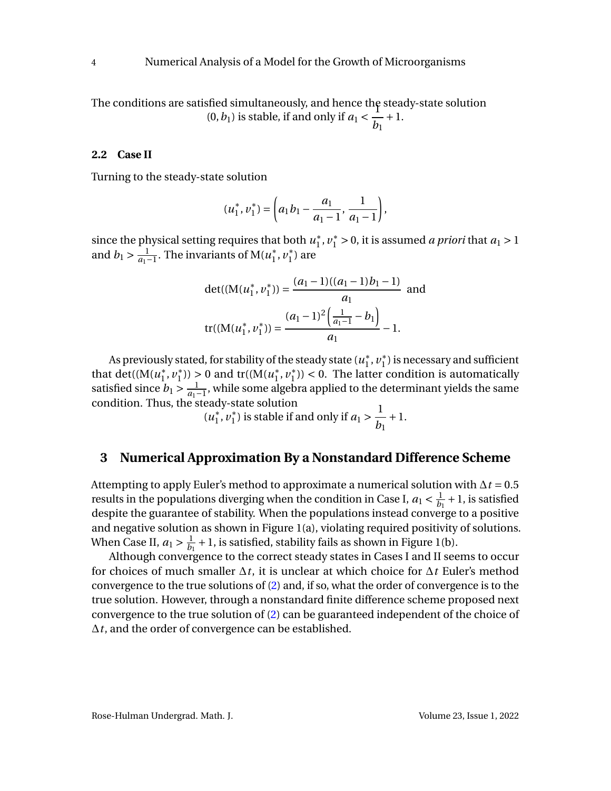The conditions are satisfied simultaneously, and hence the steady-state solution  $(0, b_1)$  is stable, if and only if  $a_1 < \frac{1}{b_1}$ *b*1 +1.

#### **2.2 Case II**

Turning to the steady-state solution

$$
(u_1^*, v_1^*) = \left(a_1b_1 - \frac{a_1}{a_1 - 1}, \frac{1}{a_1 - 1}\right),\,
$$

since the physical setting requires that both *u* ∗  $_1^*$ ,  $v_1^* > 0$ , it is assumed *a priori* that  $a_1 > 1$ and  $b_1 > \frac{1}{a_1-1}$ . The invariants of M( $u_1^*$ )  $i^*, v_1^*$  $j<sub>1</sub><sup>*</sup>$ ) are

$$
\det((M(u_1^*, v_1^*)) = \frac{(a_1 - 1)((a_1 - 1)b_1 - 1)}{a_1} \text{ and}
$$

$$
\text{tr}((M(u_1^*, v_1^*)) = \frac{(a_1 - 1)^2 \left(\frac{1}{a_1 - 1} - b_1\right)}{a_1} - 1.
$$

As previously stated, for stability of the steady state (*u* ∗  $i^*, v_1^*$  $_1^*$ ) is necessary and sufficient that det( $(M(u_1^*)$  $\frac{1}{1}, v_1^*$ <sup>\*</sup><sub>1</sub>)) > 0 and tr(( $M(u_1^*)$  $_1^*$ ,  $v_1^*$  $\binom{1}{1}$  < 0. The latter condition is automatically satisfied since  $b_1 > \frac{1}{a_1-1}$ , while some algebra applied to the determinant yields the same condition. Thus, the steady-state solution

(*u* ∗  $\frac{1}{1}$ ,  $v_1^*$ <sup>\*</sup>/<sub>1</sub>) is stable if and only if  $a_1 > \frac{1}{b_1}$ *b*1 +1.

### **3 Numerical Approximation By a Nonstandard Difference Scheme**

Attempting to apply Euler's method to approximate a numerical solution with ∆*t* = 0.5 results in the populations diverging when the condition in Case I,  $a_1 < \frac{1}{b_1}$  $\frac{1}{b_1}$  + 1, is satisfied despite the guarantee of stability. When the populations instead converge to a positive and negative solution as shown in Figure 1(a), violating required positivity of solutions. When Case II,  $a_1 > \frac{1}{b_1}$  $\frac{1}{b_1}$  + 1, is satisfied, stability fails as shown in Figure 1(b).

Although convergence to the correct steady states in Cases I and II seems to occur for choices of much smaller ∆*t*, it is unclear at which choice for ∆*t* Euler's method convergence to the true solutions of [\(2\)](#page-2-1) and, if so, what the order of convergence is to the true solution. However, through a nonstandard finite difference scheme proposed next convergence to the true solution of [\(2\)](#page-2-1) can be guaranteed independent of the choice of ∆*t*, and the order of convergence can be established.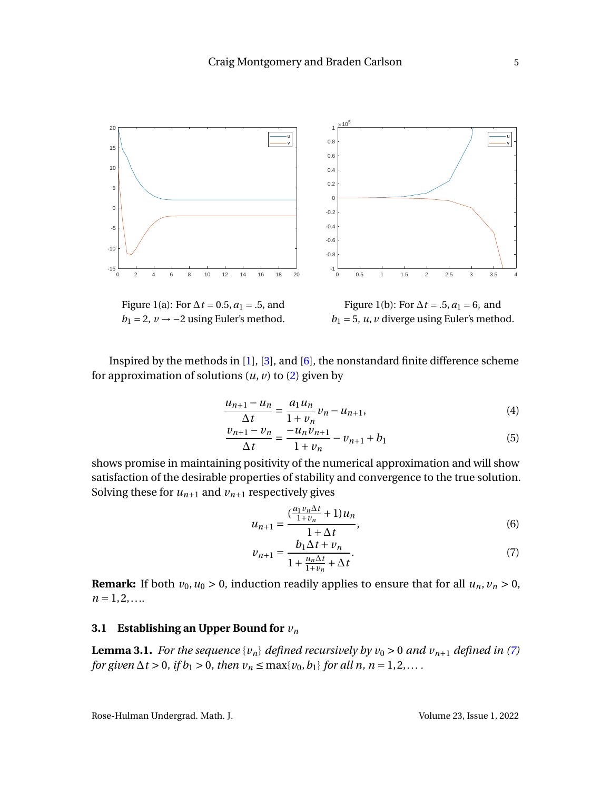

 $b_1 = 2$ ,  $v \rightarrow -2$  using Euler's method.  $b_1 = 5$ , *u*, *v* diverge using Euler's method.

Inspired by the methods in [\[1\]](#page-17-0), [\[3\]](#page-18-10), and [\[6\]](#page-18-11), the nonstandard finite difference scheme for approximation of solutions  $(u, v)$  to  $(2)$  given by

$$
\frac{u_{n+1} - u_n}{\Delta t} = \frac{a_1 u_n}{1 + v_n} v_n - u_{n+1},
$$
\n(4)

$$
\frac{v_{n+1} - v_n}{\Delta t} = \frac{-u_n v_{n+1}}{1 + v_n} - v_{n+1} + b_1
$$
(5)

shows promise in maintaining positivity of the numerical approximation and will show satisfaction of the desirable properties of stability and convergence to the true solution. Solving these for  $u_{n+1}$  and  $v_{n+1}$  respectively gives

<span id="page-5-3"></span><span id="page-5-1"></span>
$$
u_{n+1} = \frac{\left(\frac{a_1 v_n \Delta t}{1 + v_n} + 1\right) u_n}{1 + \Delta t},
$$
\n(6)

<span id="page-5-0"></span>
$$
v_{n+1} = \frac{b_1 \Delta t + v_n}{1 + \frac{u_n \Delta t}{1 + v_n} + \Delta t}.
$$
 (7)

**Remark:** If both  $v_0$ ,  $u_0 > 0$ , induction readily applies to ensure that for all  $u_n$ ,  $v_n > 0$ ,  $n = 1, 2, \ldots$ 

#### **3.1 Establishing an Upper Bound for** *v<sup>n</sup>*

<span id="page-5-2"></span>**Lemma 3.1.** *For the sequence*  $\{v_n\}$  *defined recursively by*  $v_0 > 0$  *and*  $v_{n+1}$  *defined in [\(7\)](#page-5-0) for given*  $\Delta t > 0$ *, if*  $b_1 > 0$ *, then*  $v_n \le \max\{v_0, b_1\}$  *for all n, n* = 1,2,...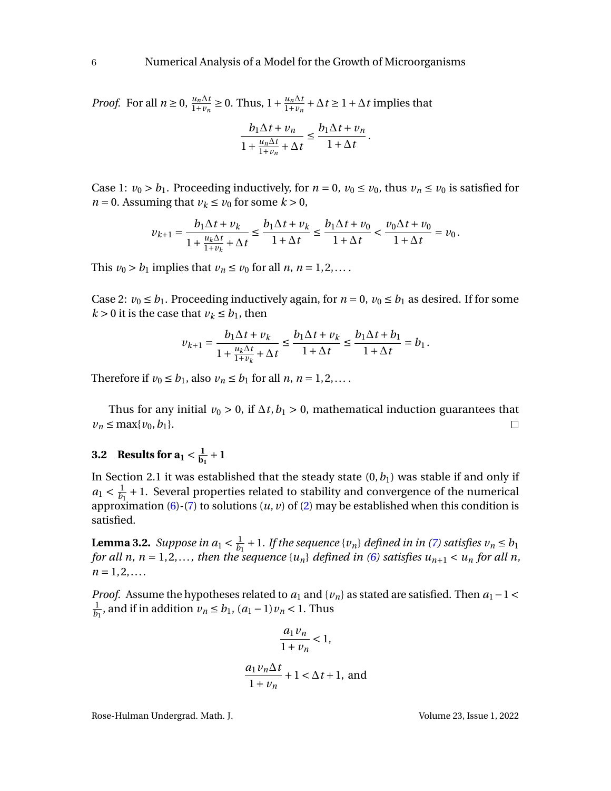*Proof.* For all  $n \ge 0$ ,  $\frac{u_n \Delta t}{1 + v_n} \ge 0$ . Thus,  $1 + \frac{u_n \Delta t}{1 + v_n} + \Delta t \ge 1 + \Delta t$  implies that

$$
\frac{b_1 \Delta t + v_n}{1 + \frac{u_n \Delta t}{1 + v_n} + \Delta t} \le \frac{b_1 \Delta t + v_n}{1 + \Delta t}.
$$

Case 1:  $v_0 > b_1$ . Proceeding inductively, for  $n = 0$ ,  $v_0 \le v_0$ , thus  $v_n \le v_0$  is satisfied for *n* = 0. Assuming that  $v_k \le v_0$  for some  $k > 0$ ,

$$
\nu_{k+1} = \frac{b_1 \Delta t + \nu_k}{1 + \frac{u_k \Delta t}{1 + v_k} + \Delta t} \le \frac{b_1 \Delta t + \nu_k}{1 + \Delta t} \le \frac{b_1 \Delta t + \nu_0}{1 + \Delta t} < \frac{\nu_0 \Delta t + \nu_0}{1 + \Delta t} = \nu_0.
$$

This  $v_0 > b_1$  implies that  $v_n \le v_0$  for all  $n, n = 1, 2, \ldots$ .

Case 2:  $v_0 \le b_1$ . Proceeding inductively again, for  $n = 0$ ,  $v_0 \le b_1$  as desired. If for some  $k > 0$  it is the case that  $v_k \le b_1$ , then

$$
\nu_{k+1} = \frac{b_1 \Delta t + \nu_k}{1 + \frac{u_k \Delta t}{1 + v_k} + \Delta t} \le \frac{b_1 \Delta t + \nu_k}{1 + \Delta t} \le \frac{b_1 \Delta t + b_1}{1 + \Delta t} = b_1.
$$

Therefore if  $v_0 \le b_1$ , also  $v_n \le b_1$  for all  $n, n = 1, 2, \ldots$ .

Thus for any initial  $v_0 > 0$ , if  $\Delta t$ ,  $b_1 > 0$ , mathematical induction guarantees that  $v_n \le \max\{v_0, b_1\}.$  $\Box$ 

#### **3.2** Results for  $a_1 < \frac{1}{b_1}$  $\frac{1}{b_1} + 1$

In Section 2.1 it was established that the steady state  $(0, b<sub>1</sub>)$  was stable if and only if  $a_1 < \frac{1}{b_1}$  $\frac{1}{b_1}$  + 1. Several properties related to stability and convergence of the numerical approximation [\(6\)](#page-5-1)-[\(7\)](#page-5-0) to solutions (*u*, *v*) of [\(2\)](#page-2-1) may be established when this condition is satisfied.

<span id="page-6-0"></span>**Lemma 3.2.** *Suppose in*  $a_1 < \frac{1}{b_1}$  $\frac{1}{b_1} + 1$ *. If the sequence* {*v*<sub>*n*</sub>} *defined in in [\(7\)](#page-5-0) satisfies v*<sub>*n*</sub>  $\leq b_1$ *for all n,*  $n = 1, 2, \ldots$ , then the sequence  $\{u_n\}$  defined in [\(6\)](#page-5-1) satisfies  $u_{n+1} < u_n$  for all *n*,  $n = 1, 2, \ldots$ 

*Proof.* Assume the hypotheses related to  $a_1$  and  $\{v_n\}$  as stated are satisfied. Then  $a_1 - 1 <$ 1  $\frac{1}{b_1}$ , and if in addition  $v_n \le b_1$ ,  $(a_1 - 1)v_n < 1$ . Thus

$$
\frac{a_1 v_n}{1 + v_n} < 1,
$$
\n
$$
\frac{a_1 v_n \Delta t}{1 + v_n} + 1 < \Delta t + 1, \text{ and}
$$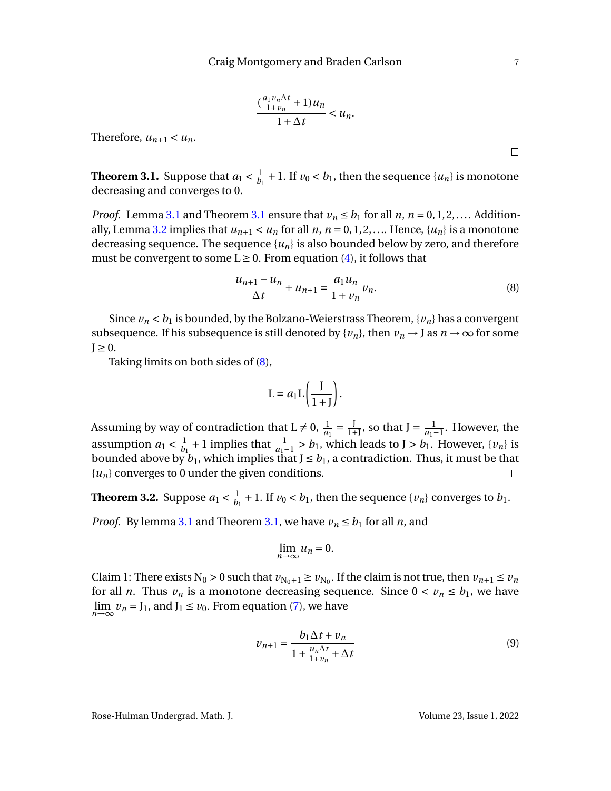$$
\frac{\left(\frac{a_1v_n\Delta t}{1+v_n}+1\right)u_n}{1+\Delta t}
$$

Therefore,  $u_{n+1} < u_n$ .

<span id="page-7-0"></span>**Theorem 3.1.** Suppose that  $a_1 < \frac{1}{b_1}$  $\frac{1}{b_1}$  + 1. If  $v_0 < b_1$ , then the sequence  $\{u_n\}$  is monotone decreasing and converges to 0.

*Proof.* Lemma [3.1](#page-7-0) and Theorem 3.1 ensure that  $v_n \leq b_1$  for all *n*,  $n = 0, 1, 2, \dots$  Addition-ally, Lemma [3.2](#page-6-0) implies that  $u_{n+1} < u_n$  for all *n*,  $n = 0, 1, 2, \ldots$  Hence,  $\{u_n\}$  is a monotone decreasing sequence. The sequence  $\{u_n\}$  is also bounded below by zero, and therefore must be convergent to some  $L \geq 0$ . From equation [\(4\)](#page-5-3), it follows that

$$
\frac{u_{n+1} - u_n}{\Delta t} + u_{n+1} = \frac{a_1 u_n}{1 + v_n} v_n.
$$
 (8)

Since  $v_n < b_1$  is bounded, by the Bolzano-Weierstrass Theorem,  $\{v_n\}$  has a convergent subsequence. If his subsequence is still denoted by  $\{v_n\}$ , then  $v_n \to J$  as  $n \to \infty$  for some  $I \geq 0$ .

Taking limits on both sides of [\(8\)](#page-7-1),

$$
L = a_1 L \left( \frac{J}{1+J} \right).
$$

Assuming by way of contradiction that  $L \neq 0$ ,  $\frac{1}{a_1} = \frac{J}{1+J}$ , so that  $J = \frac{1}{a_1-1}$ . However, the assumption  $a_1 < \frac{1}{b_1}$  $\frac{1}{b_1}$  + 1 implies that  $\frac{1}{a_1-1}$  > *b*<sub>1</sub>, which leads to J > *b*<sub>1</sub>. However, {*v<sub>n</sub>*} is bounded above by  $b_1$ , which implies that  $J \le b_1$ , a contradiction. Thus, it must be that {*un*} converges to 0 under the given conditions.  $\Box$ 

<span id="page-7-3"></span>**Theorem 3.2.** Suppose  $a_1 < \frac{1}{b_1}$  $\frac{1}{b_1}$  + 1. If  $v_0 < b_1$ , then the sequence  $\{v_n\}$  converges to  $b_1$ .

*Proof.* By lemma [3.1](#page-5-2) and Theorem [3.1,](#page-7-0) we have  $v_n \leq b_1$  for all *n*, and

$$
\lim_{n\to\infty}u_n=0.
$$

Claim 1: There exists  $N_0 > 0$  such that  $v_{N_0+1} \ge v_{N_0}$ . If the claim is not true, then  $v_{n+1} \le v_n$ for all *n*. Thus  $v_n$  is a monotone decreasing sequence. Since  $0 < v_n \le b_1$ , we have  $\lim_{n\to\infty}$   $v_n = J_1$ , and  $J_1 \le v_0$ . From equation [\(7\)](#page-5-0), we have

$$
\nu_{n+1} = \frac{b_1 \Delta t + \nu_n}{1 + \frac{u_n \Delta t}{1 + v_n} + \Delta t} \tag{9}
$$

Rose-Hulman Undergrad. Math. J. Volume 23, Issue 1, 2022

<span id="page-7-2"></span>

<span id="page-7-1"></span> $\Box$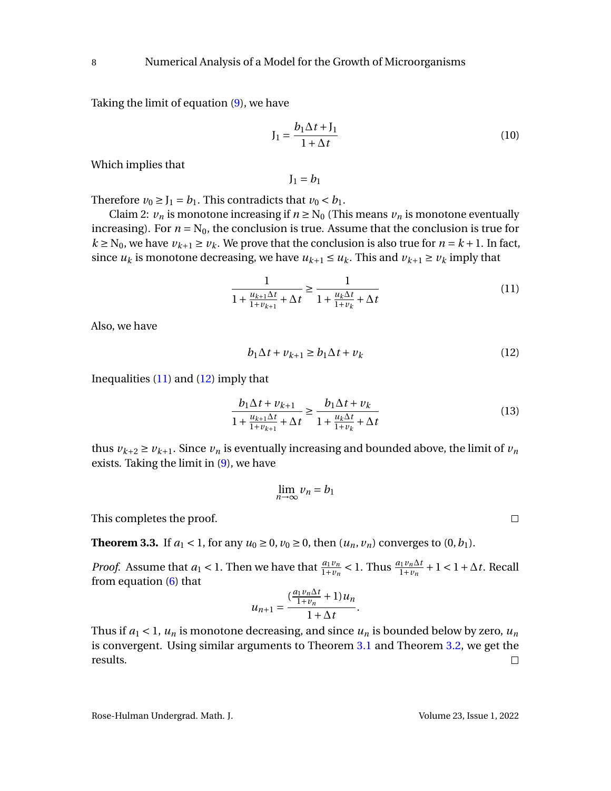Taking the limit of equation [\(9\)](#page-7-2), we have

$$
J_1 = \frac{b_1 \Delta t + J_1}{1 + \Delta t} \tag{10}
$$

Which implies that

<span id="page-8-0"></span> $J_1 = b_1$ 

Therefore  $v_0 \geq J_1 = b_1$ . This contradicts that  $v_0 < b_1$ .

Claim 2:  $v_n$  is monotone increasing if  $n \ge N_0$  (This means  $v_n$  is monotone eventually increasing). For  $n = N_0$ , the conclusion is true. Assume that the conclusion is true for  $k \ge N_0$ , we have  $v_{k+1} \ge v_k$ . We prove that the conclusion is also true for  $n = k+1$ . In fact, since  $u_k$  is monotone decreasing, we have  $u_{k+1} \leq u_k$ . This and  $v_{k+1} \geq v_k$  imply that

$$
\frac{1}{1 + \frac{u_{k+1}\Delta t}{1 + v_{k+1}} + \Delta t} \ge \frac{1}{1 + \frac{u_k \Delta t}{1 + v_k} + \Delta t}
$$
(11)

Also, we have

$$
b_1 \Delta t + v_{k+1} \ge b_1 \Delta t + v_k \tag{12}
$$

Inequalities  $(11)$  and  $(12)$  imply that

$$
\frac{b_1 \Delta t + v_{k+1}}{1 + \frac{u_{k+1} \Delta t}{1 + v_{k+1}} + \Delta t} \ge \frac{b_1 \Delta t + v_k}{1 + \frac{u_k \Delta t}{1 + v_k} + \Delta t}
$$
(13)

thus  $v_{k+2} \ge v_{k+1}$ . Since  $v_n$  is eventually increasing and bounded above, the limit of  $v_n$ exists. Taking the limit in [\(9\)](#page-7-2), we have

$$
\lim_{n \to \infty} v_n = b_1
$$

This completes the proof.

**Theorem 3.3.** If  $a_1 < 1$ , for any  $u_0 \ge 0$ ,  $v_0 \ge 0$ , then  $(u_n, v_n)$  converges to  $(0, b_1)$ .

*Proof.* Assume that  $a_1 < 1$ . Then we have that  $\frac{a_1v_n}{1+v_n} < 1$ . Thus  $\frac{a_1v_n\Delta t}{1+v_n} + 1 < 1 + \Delta t$ . Recall from equation [\(6\)](#page-5-1) that

$$
u_{n+1} = \frac{\left(\frac{a_1v_n\Delta t}{1+v_n} + 1\right)u_n}{1+\Delta t}.
$$

Thus if  $a_1 < 1$ ,  $u_n$  is monotone decreasing, and since  $u_n$  is bounded below by zero,  $u_n$ is convergent. Using similar arguments to Theorem [3.1](#page-7-0) and Theorem [3.2,](#page-7-3) we get the results.  $\Box$ 

<span id="page-8-1"></span> $\Box$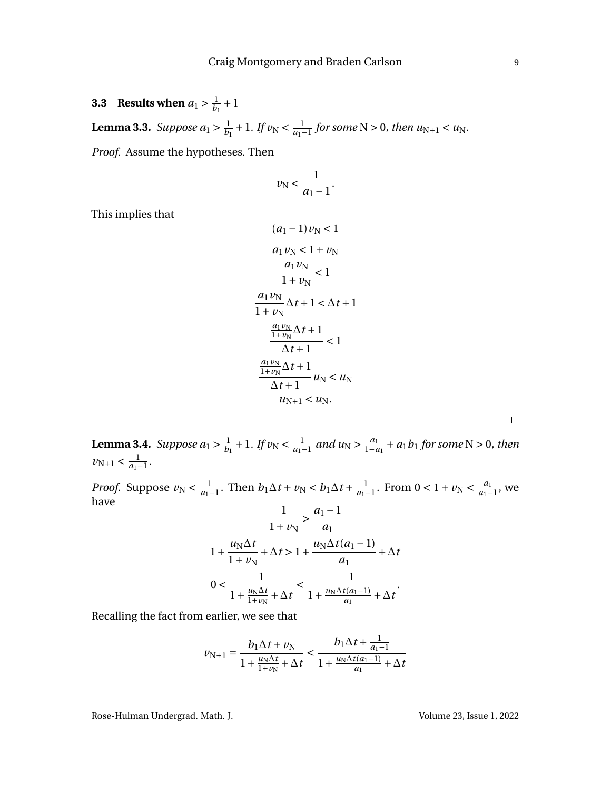**3.3 Results when**  $a_1 > \frac{1}{b_1}$  $\frac{1}{b_1} + 1$ 

**Lemma 3.3.** *Suppose*  $a_1 > \frac{1}{b_1}$  $\frac{1}{b_1} + 1$ *. If*  $\nu_N < \frac{1}{a_1 - 1}$  for some N > 0*, then u*<sub>N+1</sub> < *u*<sub>N</sub>*.* 

*Proof.* Assume the hypotheses. Then

$$
v_{\rm N} < \frac{1}{a_1 - 1}.
$$

This implies that

$$
(a_1 - 1) v_N < 1
$$
  
\n
$$
a_1 v_N < 1 + v_N
$$
  
\n
$$
\frac{a_1 v_N}{1 + v_N} < 1
$$
  
\n
$$
\frac{a_1 v_N}{1 + v_N} \Delta t + 1 < \Delta t + 1
$$
  
\n
$$
\frac{\frac{a_1 v_N}{1 + v_N} \Delta t + 1}{\Delta t + 1} < 1
$$
  
\n
$$
\frac{\frac{a_1 v_N}{1 + v_N} \Delta t + 1}{\Delta t + 1} u_N < u_N
$$
  
\n
$$
u_{N+1} < u_N
$$

**Lemma 3.4.** Suppose  $a_1 > \frac{1}{b_1}$  $\frac{1}{b_1} + 1$ *. If*  $v_N < \frac{1}{a_1 - 1}$  and  $u_N > \frac{a_1}{1 - a_1} + a_1 b_1$  for some N > 0*, then*  $v_{N+1} < \frac{1}{a_1 - 1}$ .

*Proof.* Suppose  $\nu_N < \frac{1}{a_1 - 1}$ . Then  $b_1 \Delta t + \nu_N < b_1 \Delta t + \frac{1}{a_1 - 1}$ . From  $0 < 1 + \nu_N < \frac{a_1}{a_1 - 1}$ , we have

$$
\frac{1}{1 + \nu_{\rm N}} > \frac{a_1 - 1}{a_1}
$$
  

$$
1 + \frac{u_{\rm N} \Delta t}{1 + \nu_{\rm N}} + \Delta t > 1 + \frac{u_{\rm N} \Delta t (a_1 - 1)}{a_1} + \Delta t
$$
  

$$
0 < \frac{1}{1 + \frac{u_{\rm N} \Delta t}{1 + \nu_{\rm N}} + \Delta t} < \frac{1}{1 + \frac{u_{\rm N} \Delta t (a_1 - 1)}{a_1} + \Delta t}.
$$

Recalling the fact from earlier, we see that

$$
\nu_{N+1} = \frac{b_1 \Delta t + \nu_N}{1 + \frac{u_N \Delta t}{1 + \nu_N} + \Delta t} < \frac{b_1 \Delta t + \frac{1}{a_1 - 1}}{1 + \frac{u_N \Delta t (a_1 - 1)}{a_1} + \Delta t}
$$

Rose-Hulman Undergrad. Math. J. Volume 23, Issue 1, 2022

 $\Box$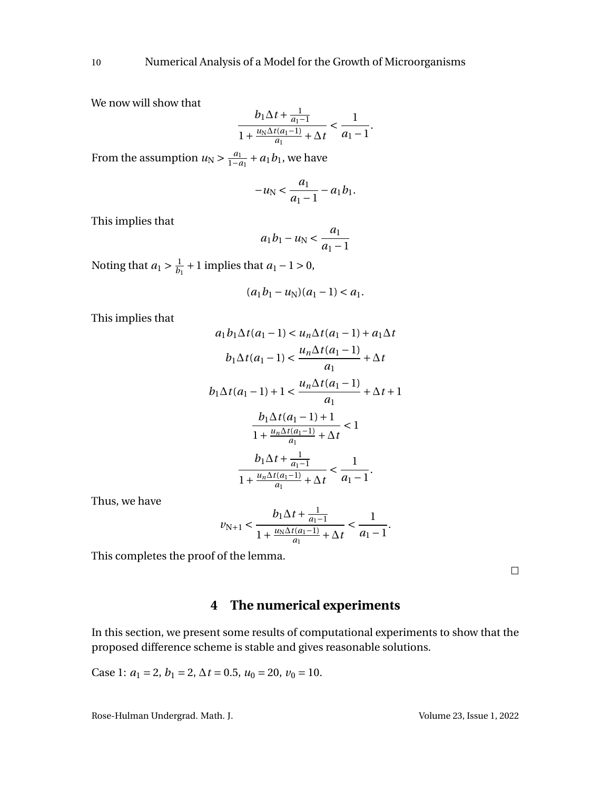We now will show that

$$
\frac{b_1\Delta t + \frac{1}{a_1 - 1}}{1 + \frac{u_N\Delta t(a_1 - 1)}{a_1} + \Delta t} < \frac{1}{a_1 - 1}.
$$

From the assumption  $u_N > \frac{a_1}{1-a_1} + a_1b_1$ , we have

$$
-u_N < \frac{a_1}{a_1 - 1} - a_1 b_1.
$$

This implies that

$$
a_1b_1 - u_N < \frac{a_1}{a_1 - 1}
$$

Noting that  $a_1 > \frac{1}{b_1}$  $\frac{1}{b_1}$  + 1 implies that *a*<sub>1</sub> – 1 > 0,

$$
(a_1b_1-u_N)(a_1-1) < a_1.
$$

This implies that

$$
a_1 b_1 \Delta t (a_1 - 1) < u_n \Delta t (a_1 - 1) + a_1 \Delta t
$$
\n
$$
b_1 \Delta t (a_1 - 1) < \frac{u_n \Delta t (a_1 - 1)}{a_1} + \Delta t
$$
\n
$$
b_1 \Delta t (a_1 - 1) + 1 < \frac{u_n \Delta t (a_1 - 1)}{a_1} + \Delta t + 1
$$
\n
$$
\frac{b_1 \Delta t (a_1 - 1) + 1}{1 + \frac{u_n \Delta t (a_1 - 1)}{a_1} + \Delta t} < 1
$$
\n
$$
\frac{b_1 \Delta t + \frac{1}{a_1 - 1}}{1 + \frac{u_n \Delta t (a_1 - 1)}{a_1} + \Delta t} < \frac{1}{a_1 - 1}.
$$

Thus, we have

$$
\nu_{N+1} < \frac{b_1 \Delta t + \frac{1}{a_1 - 1}}{1 + \frac{u_N \Delta t (a_1 - 1)}{a_1} + \Delta t} < \frac{1}{a_1 - 1}.
$$

This completes the proof of the lemma.

 $\Box$ 

# **4 The numerical experiments**

In this section, we present some results of computational experiments to show that the proposed difference scheme is stable and gives reasonable solutions.

Case 1: 
$$
a_1 = 2
$$
,  $b_1 = 2$ ,  $\Delta t = 0.5$ ,  $u_0 = 20$ ,  $v_0 = 10$ .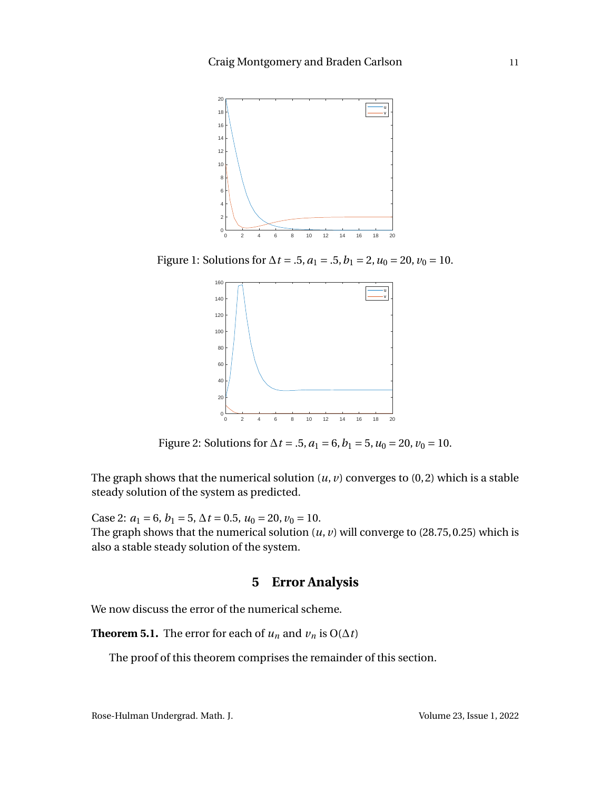

Figure 1: Solutions for  $\Delta t = .5$ ,  $a_1 = .5$ ,  $b_1 = 2$ ,  $u_0 = 20$ ,  $v_0 = 10$ .



Figure 2: Solutions for  $\Delta t = .5$ ,  $a_1 = 6$ ,  $b_1 = 5$ ,  $u_0 = 20$ ,  $v_0 = 10$ .

The graph shows that the numerical solution  $(u, v)$  converges to  $(0, 2)$  which is a stable steady solution of the system as predicted.

Case 2:  $a_1 = 6$ ,  $b_1 = 5$ ,  $\Delta t = 0.5$ ,  $u_0 = 20$ ,  $v_0 = 10$ . The graph shows that the numerical solution  $(u, v)$  will converge to  $(28.75, 0.25)$  which is also a stable steady solution of the system.

## **5 Error Analysis**

<span id="page-11-0"></span>We now discuss the error of the numerical scheme.

**Theorem 5.1.** The error for each of  $u_n$  and  $v_n$  is O( $\Delta t$ )

The proof of this theorem comprises the remainder of this section.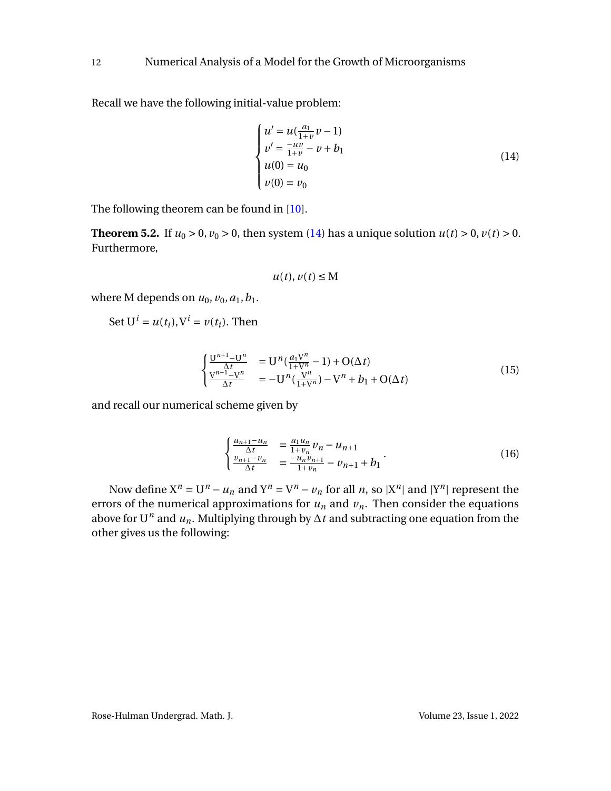Recall we have the following initial-value problem:

<span id="page-12-0"></span>
$$
\begin{cases}\n u' = u(\frac{a_1}{1+v}v - 1) \\
 v' = \frac{-uv}{1+v} - v + b_1 \\
 u(0) = u_0 \\
 v(0) = v_0\n\end{cases}
$$
\n(14)

The following theorem can be found in [\[10\]](#page-18-8).

**Theorem 5.2.** If  $u_0 > 0$ ,  $v_0 > 0$ , then system [\(14\)](#page-12-0) has a unique solution  $u(t) > 0$ ,  $v(t) > 0$ . Furthermore,

$$
u(t), v(t) \leq M
$$

where M depends on  $u_0$ ,  $v_0$ ,  $a_1$ ,  $b_1$ .

Set 
$$
U^i = u(t_i)
$$
,  $V^i = v(t_i)$ . Then

$$
\begin{cases}\n\frac{U^{n+1}-U^n}{\Delta t} &= U^n(\frac{a_1V^n}{1+V^n}-1) + O(\Delta t) \\
\frac{V^{n+1}-V^n}{\Delta t} &= -U^n(\frac{V^n}{1+V^n}) - V^n + b_1 + O(\Delta t)\n\end{cases}
$$
\n(15)

and recall our numerical scheme given by

$$
\begin{cases} \frac{u_{n+1} - u_n}{\Delta t} = \frac{a_1 u_n}{1 + v_n} v_n - u_{n+1} \\ \frac{v_{n+1} - v_n}{\Delta t} = \frac{-u_n v_{n+1}}{1 + v_n} - v_{n+1} + b_1 \end{cases} (16)
$$

Now define  $X^n = U^n - u_n$  and  $Y^n = V^n - v_n$  for all *n*, so  $|X^n|$  and  $|Y^n|$  represent the errors of the numerical approximations for  $u_n$  and  $v_n$ . Then consider the equations above for U<sup>*n*</sup> and  $u_n$ . Multiplying through by  $\Delta t$  and subtracting one equation from the other gives us the following: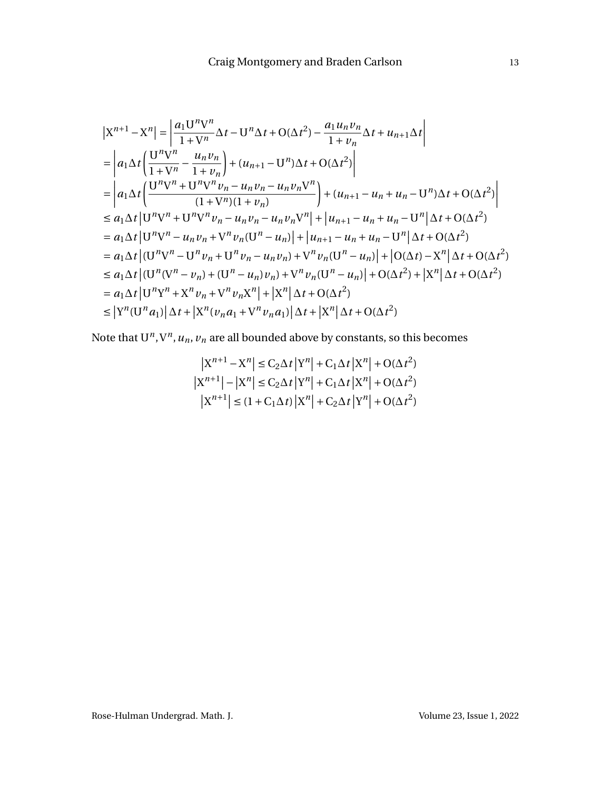$$
\begin{split}\n&\left| \mathbf{X}^{n+1} - \mathbf{X}^{n} \right| = \left| \frac{a_{1} \mathbf{U}^{n} \mathbf{V}^{n}}{1 + \mathbf{V}^{n}} \Delta t - \mathbf{U}^{n} \Delta t + O(\Delta t^{2}) - \frac{a_{1} u_{n} v_{n}}{1 + v_{n}} \Delta t + u_{n+1} \Delta t \right| \\
&= \left| a_{1} \Delta t \left( \frac{\mathbf{U}^{n} \mathbf{V}^{n}}{1 + \mathbf{V}^{n}} - \frac{u_{n} v_{n}}{1 + v_{n}} \right) + (u_{n+1} - \mathbf{U}^{n}) \Delta t + O(\Delta t^{2}) \right| \\
&= \left| a_{1} \Delta t \left( \frac{\mathbf{U}^{n} \mathbf{V}^{n} + \mathbf{U}^{n} \mathbf{V}^{n} v_{n} - u_{n} v_{n} - u_{n} v_{n} \mathbf{V}^{n}}{(1 + \mathbf{V}^{n})(1 + v_{n})} \right) + (u_{n+1} - u_{n} + u_{n} - \mathbf{U}^{n}) \Delta t + O(\Delta t^{2}) \right| \\
&\leq a_{1} \Delta t \left| \mathbf{U}^{n} \mathbf{V}^{n} + \mathbf{U}^{n} \mathbf{V}^{n} v_{n} - u_{n} v_{n} - u_{n} v_{n} \mathbf{V}^{n} \right| + \left| u_{n+1} - u_{n} + u_{n} - \mathbf{U}^{n} \right| \Delta t + O(\Delta t^{2}) \\
&= a_{1} \Delta t \left| \mathbf{U}^{n} \mathbf{V}^{n} - u_{n} v_{n} + \mathbf{V}^{n} v_{n} (\mathbf{U}^{n} - u_{n}) \right| + \left| u_{n+1} - u_{n} + u_{n} - \mathbf{U}^{n} \right| \Delta t + O(\Delta t^{2}) \\
&= a_{1} \Delta t \left| (\mathbf{U}^{n} \mathbf{V}^{n} - \mathbf{U}^{n} v_{n} + \mathbf{U}^{n} v_{n} - u_{n} v_{n}) + \mathbf{V}^{n} v_{n} (\mathbf{U}^{n} - u_{n}) \right| + \left| O(\Delta t) - \mathbf{X}^{n} \right| \Delta t +
$$

Note that  $U^n$ ,  $V^n$ ,  $u_n$ ,  $v_n$  are all bounded above by constants, so this becomes

$$
\left| \begin{aligned} \left| \mathbf{X}^{n+1} - \mathbf{X}^{n} \right| &\leq \mathbf{C}_{2} \Delta t \left| \mathbf{Y}^{n} \right| + \mathbf{C}_{1} \Delta t \left| \mathbf{X}^{n} \right| + \mathbf{O}(\Delta t^{2}) \\ \left| \mathbf{X}^{n+1} \right| - \left| \mathbf{X}^{n} \right| &\leq \mathbf{C}_{2} \Delta t \left| \mathbf{Y}^{n} \right| + \mathbf{C}_{1} \Delta t \left| \mathbf{X}^{n} \right| + \mathbf{O}(\Delta t^{2}) \\ \left| \mathbf{X}^{n+1} \right| &\leq (1 + \mathbf{C}_{1} \Delta t) \left| \mathbf{X}^{n} \right| + \mathbf{C}_{2} \Delta t \left| \mathbf{Y}^{n} \right| + \mathbf{O}(\Delta t^{2}) \end{aligned}
$$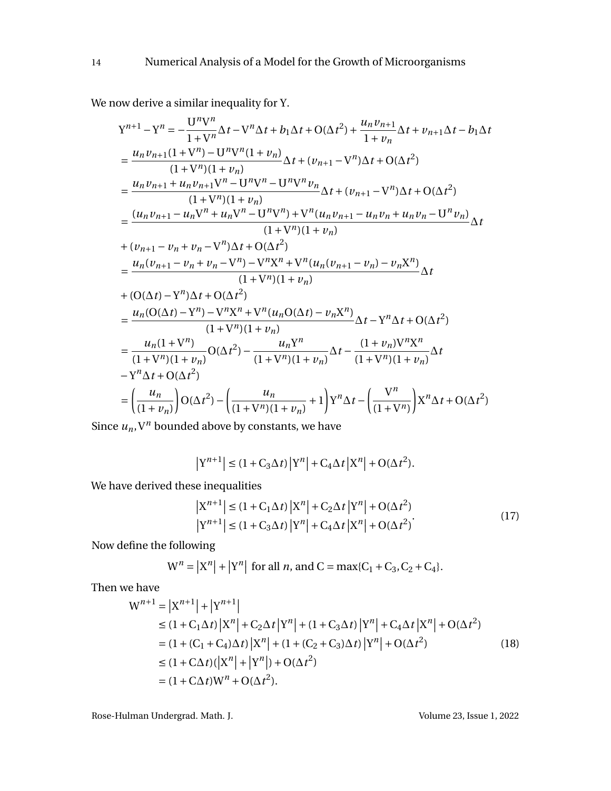We now derive a similar inequality for Y.

$$
Y^{n+1} - Y^n = -\frac{U^n V^n}{1 + V^n} \Delta t - V^n \Delta t + b_1 \Delta t + O(\Delta t^2) + \frac{u_n v_{n+1}}{1 + v_n} \Delta t + v_{n+1} \Delta t - b_1 \Delta t
$$
  
\n
$$
= \frac{u_n v_{n+1} (1 + V^n) - U^n V^n (1 + v_n)}{(1 + V^n) (1 + v_n)} \Delta t + (v_{n+1} - V^n) \Delta t + O(\Delta t^2)
$$
  
\n
$$
= \frac{u_n v_{n+1} + u_n v_{n+1} V^n - U^n V^n - U^n V^n v_n}{(1 + V^n) (1 + v_n)} \Delta t + (v_{n+1} - V^n) \Delta t + O(\Delta t^2)
$$
  
\n
$$
= \frac{(u_n v_{n+1} - u_n V^n + u_n V^n - U^n V^n) + V^n (u_n v_{n+1} - u_n v_n + u_n v_n - U^n v_n)}{(1 + V^n) (1 + v_n)}
$$
  
\n
$$
+ (v_{n+1} - v_n + v_n - V^n) \Delta t + O(\Delta t^2)
$$
  
\n
$$
= \frac{u_n (v_{n+1} - v_n + v_n - V^n) - V^n X^n + V^n (u_n (v_{n+1} - v_n) - v_n X^n)}{(1 + V^n) (1 + v_n)}
$$
  
\n
$$
+ (O(\Delta t) - Y^n) \Delta t + O(\Delta t^2)
$$
  
\n
$$
= \frac{u_n (O(\Delta t) - Y^n) - V^n X^n + V^n (u_n O(\Delta t) - v_n X^n)}{(1 + V^n) (1 + v_n)} \Delta t - Y^n \Delta t + O(\Delta t^2)
$$
  
\n
$$
= \frac{u_n (1 + V^n)}{(1 + V^n) (1 + v_n)} O(\Delta t^2) - \frac{u_n Y^n}{(1 + V^n) (1 + v_n)} \Delta t - \frac{(1 + v_n) V^n X^n}{(1 + V^n) (1 + v_n)} \Delta t
$$
  
\n
$$
- Y^n \Delta t + O(\Delta t^2)
$$
  
\n
$$
= \left(\frac{u_n}{(1 + v_n)}\right) O(\Delta t^2) - \left(\frac{u_n}{(1 + V^n) (1 + v_n)} + 1\right) Y^n \Delta t - \left(\frac{V^n}{(1 + V^n) (
$$

Since  $u_n$ ,  $V^n$  bounded above by constants, we have

$$
\left| \mathbf{Y}^{n+1} \right| \le \left( 1 + \mathbf{C}_3 \Delta t \right) \left| \mathbf{Y}^{n} \right| + \mathbf{C}_4 \Delta t \left| \mathbf{X}^{n} \right| + \mathbf{O}(\Delta t^2).
$$

We have derived these inequalities

$$
\left| \mathbf{X}^{n+1} \right| \leq \left( 1 + \mathbf{C}_1 \Delta t \right) \left| \mathbf{X}^n \right| + \mathbf{C}_2 \Delta t \left| \mathbf{Y}^n \right| + \mathbf{O}(\Delta t^2)
$$
\n
$$
\left| \mathbf{Y}^{n+1} \right| \leq \left( 1 + \mathbf{C}_3 \Delta t \right) \left| \mathbf{Y}^n \right| + \mathbf{C}_4 \Delta t \left| \mathbf{X}^n \right| + \mathbf{O}(\Delta t^2) \tag{17}
$$

Now define the following

$$
W^n = |X^n| + |Y^n|
$$
 for all *n*, and C = max{C<sub>1</sub> + C<sub>3</sub>, C<sub>2</sub> + C<sub>4</sub>}.

Then we have

$$
W^{n+1} = |X^{n+1}| + |Y^{n+1}|
$$
  
\n
$$
\leq (1 + C_1 \Delta t) |X^n| + C_2 \Delta t |Y^n| + (1 + C_3 \Delta t) |Y^n| + C_4 \Delta t |X^n| + O(\Delta t^2)
$$
  
\n
$$
= (1 + (C_1 + C_4) \Delta t) |X^n| + (1 + (C_2 + C_3) \Delta t) |Y^n| + O(\Delta t^2)
$$
  
\n
$$
\leq (1 + C \Delta t) (|X^n| + |Y^n|) + O(\Delta t^2)
$$
  
\n
$$
= (1 + C \Delta t) W^n + O(\Delta t^2).
$$
 (18)

Rose-Hulman Undergrad. Math. J. Communication and Math. Volume 23, Issue 1, 2022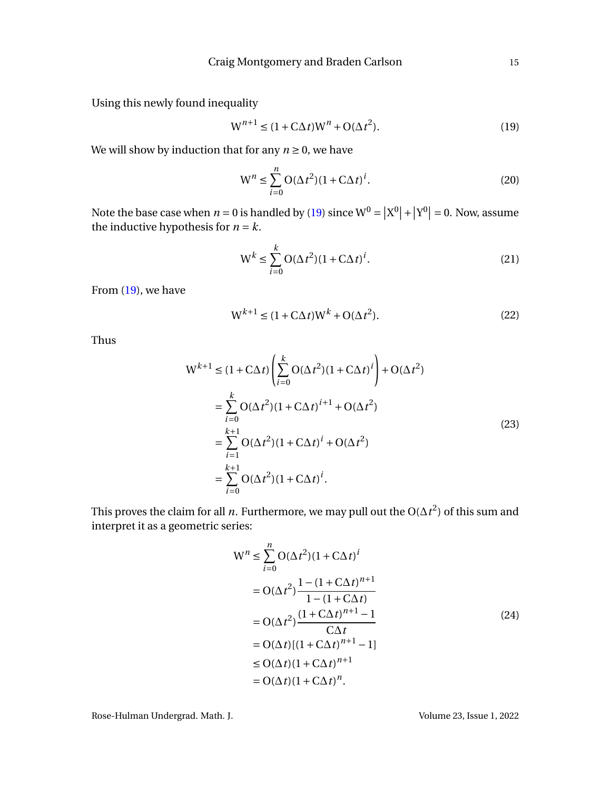Using this newly found inequality

<span id="page-15-0"></span>
$$
W^{n+1} \le (1 + C\Delta t)W^n + O(\Delta t^2). \tag{19}
$$

We will show by induction that for any  $n \geq 0$ , we have

$$
W^{n} \leq \sum_{i=0}^{n} O(\Delta t^{2})(1 + C\Delta t)^{i}.
$$
 (20)

Note the base case when  $n = 0$  is handled by [\(19\)](#page-15-0) since  $W^0 = |X^0| + |Y^0| = 0$ . Now, assume the inductive hypothesis for  $n = k$ .

$$
W^{k} \leq \sum_{i=0}^{k} O(\Delta t^{2})(1 + C\Delta t)^{i}.
$$
\n(21)

From [\(19\)](#page-15-0), we have

$$
W^{k+1} \le (1 + C\Delta t)W^k + O(\Delta t^2). \tag{22}
$$

Thus

$$
W^{k+1} \le (1 + C\Delta t) \left( \sum_{i=0}^{k} O(\Delta t^{2})(1 + C\Delta t)^{i} \right) + O(\Delta t^{2})
$$
  
= 
$$
\sum_{i=0}^{k} O(\Delta t^{2})(1 + C\Delta t)^{i+1} + O(\Delta t^{2})
$$
  
= 
$$
\sum_{i=1}^{k+1} O(\Delta t^{2})(1 + C\Delta t)^{i} + O(\Delta t^{2})
$$
  
= 
$$
\sum_{i=0}^{k+1} O(\Delta t^{2})(1 + C\Delta t)^{i}.
$$
 (23)

This proves the claim for all *n*. Furthermore, we may pull out the O( $\Delta t^2$ ) of this sum and interpret it as a geometric series:

$$
W^{n} \leq \sum_{i=0}^{n} O(\Delta t^{2})(1 + C\Delta t)^{i}
$$
  
=  $O(\Delta t^{2}) \frac{1 - (1 + C\Delta t)^{n+1}}{1 - (1 + C\Delta t)}$   
=  $O(\Delta t^{2}) \frac{(1 + C\Delta t)^{n+1} - 1}{C\Delta t}$   
=  $O(\Delta t)[(1 + C\Delta t)^{n+1} - 1]$   
 $\leq O(\Delta t)(1 + C\Delta t)^{n+1}$   
=  $O(\Delta t)(1 + C\Delta t)^{n}$ . (24)

Rose-Hulman Undergrad. Math. J. (2022) 76 (2012) 76 (2022) 88 Volume 23, Issue 1, 2022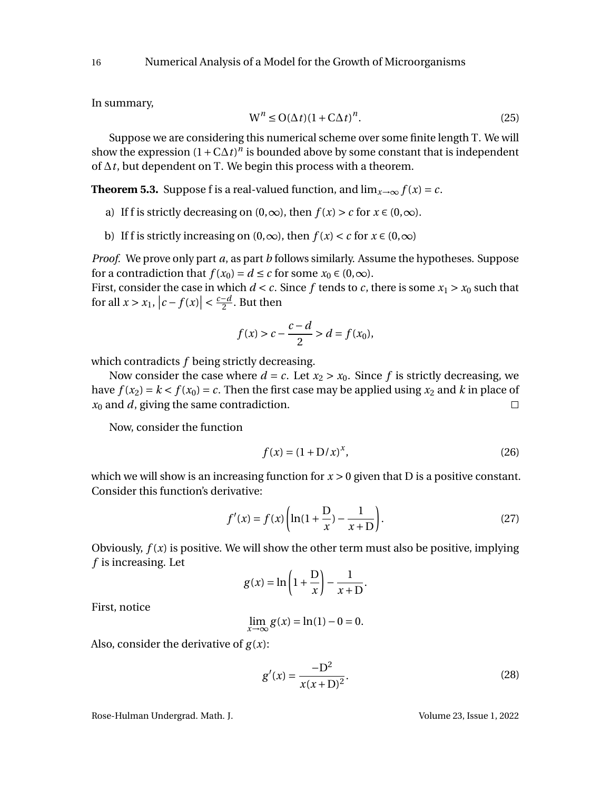In summary,

$$
W^n \le O(\Delta t)(1 + C\Delta t)^n. \tag{25}
$$

Suppose we are considering this numerical scheme over some finite length T. We will show the expression  $(1 + C\Delta t)^n$  is bounded above by some constant that is independent of ∆*t*, but dependent on T. We begin this process with a theorem.

<span id="page-16-0"></span>**Theorem 5.3.** Suppose f is a real-valued function, and  $\lim_{x\to\infty} f(x) = c$ .

- a) If f is strictly decreasing on  $(0, \infty)$ , then  $f(x) > c$  for  $x \in (0, \infty)$ .
- b) If f is strictly increasing on  $(0, \infty)$ , then  $f(x) < c$  for  $x \in (0, \infty)$

*Proof.* We prove only part *a*, as part *b* follows similarly. Assume the hypotheses. Suppose for a contradiction that  $f(x_0) = d \le c$  for some  $x_0 \in (0, \infty)$ .

First, consider the case in which  $d < c$ . Since f tends to c, there is some  $x_1 > x_0$  such that for all  $x > x_1$ ,  $|c - f(x)| < \frac{c - d}{2}$  $\frac{-a}{2}$ . But then

$$
f(x) > c - \frac{c - d}{2} > d = f(x_0),
$$

which contradicts *f* being strictly decreasing.

Now consider the case where  $d = c$ . Let  $x_2 > x_0$ . Since f is strictly decreasing, we have  $f(x_2) = k < f(x_0) = c$ . Then the first case may be applied using  $x_2$  and  $k$  in place of *x*<sup>0</sup> and *d*, giving the same contradiction.  $\Box$ 

Now, consider the function

<span id="page-16-1"></span>
$$
f(x) = (1 + D/x)^{x},
$$
 (26)

which we will show is an increasing function for  $x > 0$  given that D is a positive constant. Consider this function's derivative:

$$
f'(x) = f(x) \left( \ln(1 + \frac{D}{x}) - \frac{1}{x + D} \right).
$$
 (27)

Obviously, *f* (*x*) is positive. We will show the other term must also be positive, implying *f* is increasing. Let

$$
g(x) = \ln\left(1 + \frac{D}{x}\right) - \frac{1}{x+D}.
$$

First, notice

$$
\lim_{x \to \infty} g(x) = \ln(1) - 0 = 0.
$$

Also, consider the derivative of  $g(x)$ :

$$
g'(x) = \frac{-D^2}{x(x+D)^2}.
$$
 (28)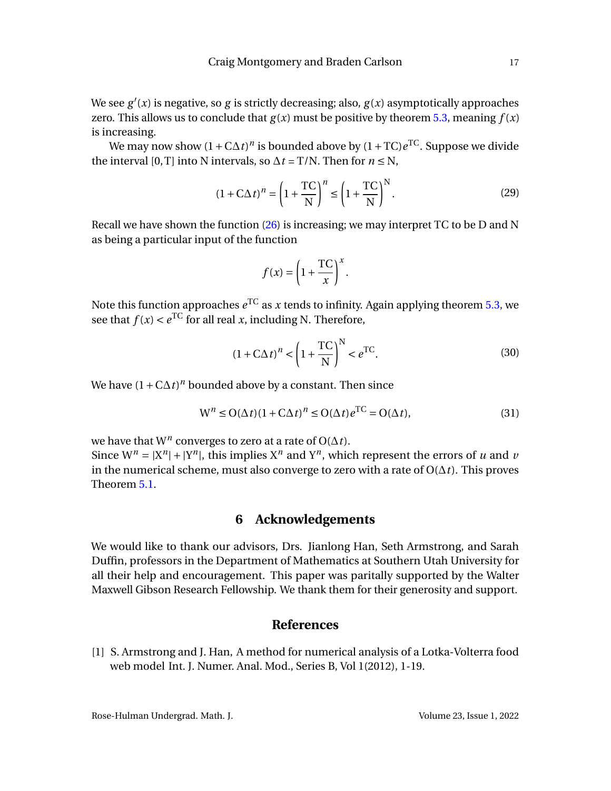We see *g* ′ (*x*) is negative, so *g* is strictly decreasing; also, *g* (*x*) asymptotically approaches zero. This allows us to conclude that  $g(x)$  must be positive by theorem [5.3,](#page-16-0) meaning  $f(x)$ is increasing.

We may now show (1+C∆*t*) *n* is bounded above by (1+TC)*e* TC. Suppose we divide the interval [0,T] into N intervals, so  $\Delta t = T/N$ . Then for  $n \le N$ ,

$$
(1 + \mathbf{C}\Delta t)^n = \left(1 + \frac{\mathbf{TC}}{\mathbf{N}}\right)^n \le \left(1 + \frac{\mathbf{TC}}{\mathbf{N}}\right)^N.
$$
 (29)

Recall we have shown the function  $(26)$  is increasing; we may interpret TC to be D and N as being a particular input of the function

$$
f(x) = \left(1 + \frac{\text{TC}}{x}\right)^x.
$$

Note this function approaches  $e^{\rm TC}$  as  $x$  tends to infinity. Again applying theorem [5.3,](#page-16-0) we see that  $f(x) < e^{TC}$  for all real *x*, including N. Therefore,

$$
(1 + \mathbf{C}\Delta t)^n < \left(1 + \frac{\mathbf{TC}}{\mathbf{N}}\right)^N < e^{\mathbf{TC}}.\tag{30}
$$

We have  $(1 + C\Delta t)^n$  bounded above by a constant. Then since

$$
W^{n} \le O(\Delta t)(1 + C\Delta t)^{n} \le O(\Delta t)e^{TC} = O(\Delta t),
$$
\n(31)

we have that W*<sup>n</sup>* converges to zero at a rate of O(∆*t*).

Since  $W^n = |X^n| + |Y^n|$ , this implies  $X^n$  and  $Y^n$ , which represent the errors of *u* and *v* in the numerical scheme, must also converge to zero with a rate of  $O(\Delta t)$ . This proves Theorem [5.1.](#page-11-0)

# **6 Acknowledgements**

We would like to thank our advisors, Drs. Jianlong Han, Seth Armstrong, and Sarah Duffin, professors in the Department of Mathematics at Southern Utah University for all their help and encouragement. This paper was paritally supported by the Walter Maxwell Gibson Research Fellowship. We thank them for their generosity and support.

## **References**

<span id="page-17-0"></span>[1] S. Armstrong and J. Han, A method for numerical analysis of a Lotka-Volterra food web model Int. J. Numer. Anal. Mod., Series B, Vol 1(2012), 1-19.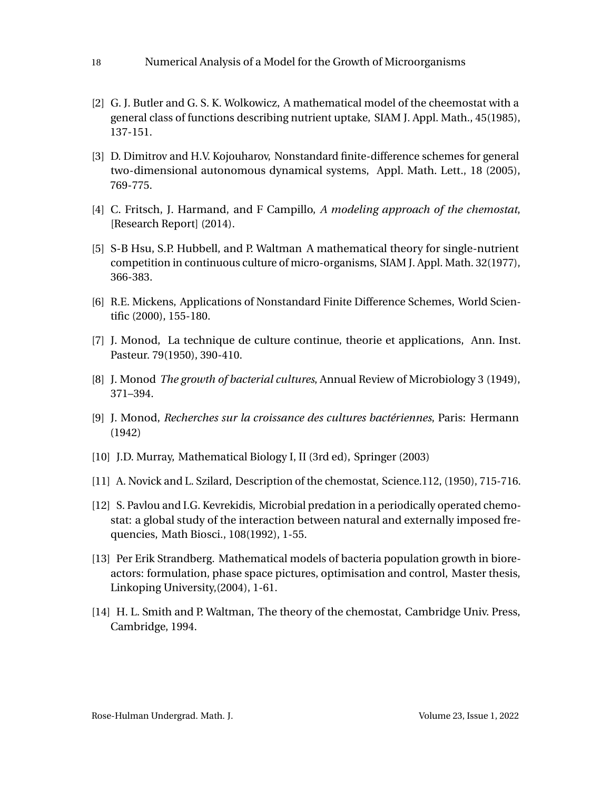- 18 Numerical Analysis of a Model for the Growth of Microorganisms
- <span id="page-18-2"></span>[2] G. J. Butler and G. S. K. Wolkowicz, A mathematical model of the cheemostat with a general class of functions describing nutrient uptake, SIAM J. Appl. Math., 45(1985), 137-151.
- <span id="page-18-10"></span>[3] D. Dimitrov and H.V. Kojouharov, Nonstandard finite-difference schemes for general two-dimensional autonomous dynamical systems, Appl. Math. Lett., 18 (2005), 769-775.
- <span id="page-18-7"></span>[4] C. Fritsch, J. Harmand, and F Campillo, *A modeling approach of the chemostat*, [Research Report] (2014).
- <span id="page-18-3"></span>[5] S-B Hsu, S.P. Hubbell, and P. Waltman A mathematical theory for single-nutrient competition in continuous culture of micro-organisms, SIAM J. Appl. Math. 32(1977), 366-383.
- <span id="page-18-11"></span>[6] R.E. Mickens, Applications of Nonstandard Finite Difference Schemes, World Scientific (2000), 155-180.
- <span id="page-18-0"></span>[7] J. Monod, La technique de culture continue, theorie et applications, Ann. Inst. Pasteur. 79(1950), 390-410.
- [8] J. Monod *The growth of bacterial cultures*, Annual Review of Microbiology 3 (1949), 371–394.
- <span id="page-18-6"></span>[9] J. Monod, *Recherches sur la croissance des cultures bactériennes*, Paris: Hermann (1942)
- <span id="page-18-8"></span>[10] J.D. Murray, Mathematical Biology I, II (3rd ed), Springer (2003)
- <span id="page-18-1"></span>[11] A. Novick and L. Szilard, Description of the chemostat, Science.112, (1950), 715-716.
- <span id="page-18-9"></span>[12] S. Pavlou and I.G. Kevrekidis, Microbial predation in a periodically operated chemostat: a global study of the interaction between natural and externally imposed frequencies, Math Biosci., 108(1992), 1-55.
- <span id="page-18-4"></span>[13] Per Erik Strandberg. Mathematical models of bacteria population growth in bioreactors: formulation, phase space pictures, optimisation and control, Master thesis, Linkoping University,(2004), 1-61.
- <span id="page-18-5"></span>[14] H. L. Smith and P. Waltman, The theory of the chemostat, Cambridge Univ. Press, Cambridge, 1994.